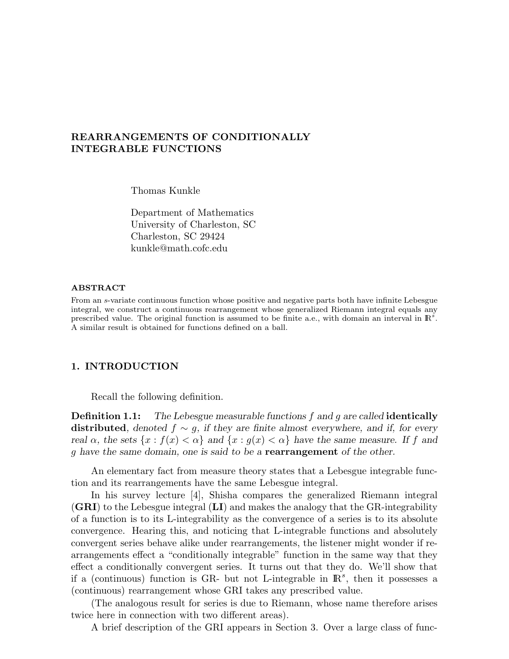# REARRANGEMENTS OF CONDITIONALLY INTEGRABLE FUNCTIONS

Thomas Kunkle

Department of Mathematics University of Charleston, SC Charleston, SC 29424 kunkle@math.cofc.edu

#### ABSTRACT

From an s-variate continuous function whose positive and negative parts both have infinite Lebesgue integral, we construct a continuous rearrangement whose generalized Riemann integral equals any prescribed value. The original function is assumed to be finite a.e., with domain an interval in  $\mathbb{R}^s$ . A similar result is obtained for functions defined on a ball.

# 1. INTRODUCTION

Recall the following definition.

**Definition 1.1:** The Lebesgue measurable functions  $f$  and  $g$  are called **identically** distributed, denoted  $f \sim g$ , if they are finite almost everywhere, and if, for every real  $\alpha$ , the sets  $\{x : f(x) < \alpha\}$  and  $\{x : g(x) < \alpha\}$  have the same measure. If f and g have the same domain, one is said to be a rearrangement of the other.

An elementary fact from measure theory states that a Lebesgue integrable function and its rearrangements have the same Lebesgue integral.

In his survey lecture [4], Shisha compares the generalized Riemann integral (GRI) to the Lebesgue integral (LI) and makes the analogy that the GR-integrability of a function is to its L-integrability as the convergence of a series is to its absolute convergence. Hearing this, and noticing that L-integrable functions and absolutely convergent series behave alike under rearrangements, the listener might wonder if rearrangements effect a "conditionally integrable" function in the same way that they effect a conditionally convergent series. It turns out that they do. We'll show that if a (continuous) function is GR- but not L-integrable in  $\mathbb{R}^s$ , then it possesses a (continuous) rearrangement whose GRI takes any prescribed value.

(The analogous result for series is due to Riemann, whose name therefore arises twice here in connection with two different areas).

A brief description of the GRI appears in Section 3. Over a large class of func-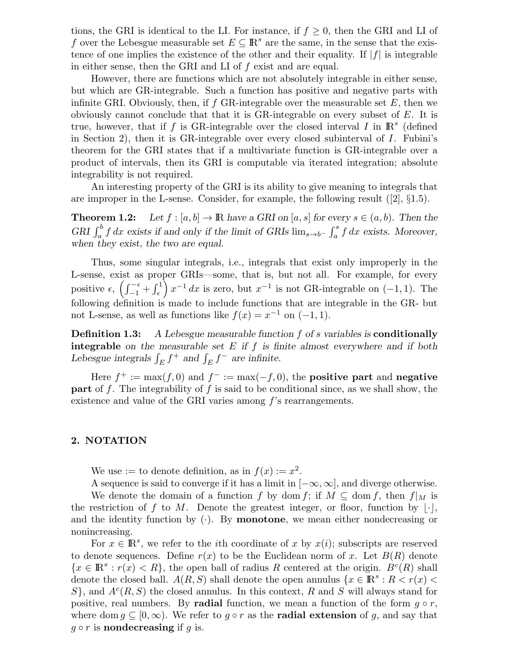tions, the GRI is identical to the LI. For instance, if  $f \geq 0$ , then the GRI and LI of f over the Lebesgue measurable set  $E \subseteq \mathbb{R}^s$  are the same, in the sense that the existence of one implies the existence of the other and their equality. If  $|f|$  is integrable in either sense, then the GRI and LI of f exist and are equal.

However, there are functions which are not absolutely integrable in either sense, but which are GR-integrable. Such a function has positive and negative parts with infinite GRI. Obviously, then, if  $f$  GR-integrable over the measurable set  $E$ , then we obviously cannot conclude that that it is  $GR$ -integrable on every subset of  $E$ . It is true, however, that if f is GR-integrable over the closed interval I in  $\mathbb{R}^s$  (defined in Section 2), then it is GR-integrable over every closed subinterval of  $I$ . Fubini's theorem for the GRI states that if a multivariate function is GR-integrable over a product of intervals, then its GRI is computable via iterated integration; absolute integrability is not required.

An interesting property of the GRI is its ability to give meaning to integrals that are improper in the L-sense. Consider, for example, the following result ([2], §1.5).

**Theorem 1.2:** Let  $f : [a, b] \to \mathbb{R}$  have a GRI on  $[a, s]$  for every  $s \in (a, b)$ . Then the GRI  $\int_a^b f dx$  exists if and only if the limit of GRIs  $\lim_{s\to b^-} \int_a^s f dx$  exists. Moreover, when they exist, the two are equal.

Thus, some singular integrals, i.e., integrals that exist only improperly in the L-sense, exist as proper GRIs—some, that is, but not all. For example, for every positive  $\epsilon$ ,  $\left(\int_{-1}^{-\epsilon} + \int_{\epsilon}^{1}\right)x^{-1} dx$  is zero, but  $x^{-1}$  is not GR-integrable on  $(-1, 1)$ . The following definition is made to include functions that are integrable in the GR- but not L-sense, as well as functions like  $f(x) = x^{-1}$  on  $(-1, 1)$ .

Definition 1.3: A Lebesgue measurable function f of s variables is conditionally **integrable** on the measurable set  $E$  if  $f$  is finite almost everywhere and if both Lebesgue integrals  $\int_E f^+$  and  $\int_E f^-$  are infinite.

Here  $f^+ := \max(f, 0)$  and  $f^- := \max(-f, 0)$ , the **positive part** and **negative part** of f. The integrability of f is said to be conditional since, as we shall show, the existence and value of the GRI varies among f's rearrangements.

### 2. NOTATION

We use := to denote definition, as in  $f(x) := x^2$ .

A sequence is said to converge if it has a limit in  $[-\infty, \infty]$ , and diverge otherwise.

We denote the domain of a function f by dom f; if  $M \subseteq \text{dom } f$ , then  $f|_M$  is the restriction of f to M. Denote the greatest integer, or floor, function by  $|\cdot|$ , and the identity function by  $(\cdot)$ . By **monotone**, we mean either nondecreasing or nonincreasing.

For  $x \in \mathbb{R}^s$ , we refer to the *i*th coordinate of x by  $x(i)$ ; subscripts are reserved to denote sequences. Define  $r(x)$  to be the Euclidean norm of x. Let  $B(R)$  denote  ${x \in \mathbb{R}^s : r(x) < R}$ , the open ball of radius R centered at the origin.  $B<sup>c</sup>(R)$  shall denote the closed ball.  $A(R, S)$  shall denote the open annulus  $\{x \in \mathbb{R}^s : R < r(x) \leq \}$  $S$ , and  $A<sup>c</sup>(R, S)$  the closed annulus. In this context, R and S will always stand for positive, real numbers. By **radial** function, we mean a function of the form  $g \circ r$ , where dom  $g \subseteq [0,\infty)$ . We refer to  $g \circ r$  as the **radial extension** of g, and say that  $q \circ r$  is nondecreasing if q is.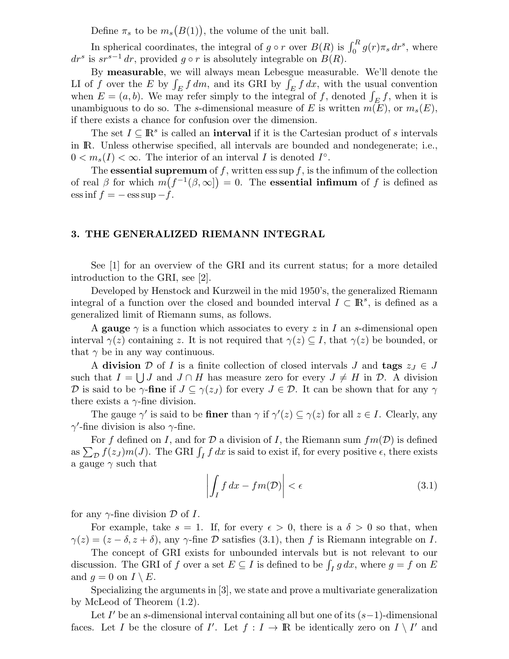Define  $\pi_s$  to be  $m_s(B(1))$ , the volume of the unit ball.

In spherical coordinates, the integral of  $g \circ r$  over  $B(R)$  is  $\int_0^R g(r) \pi_s dr^s$ , where  $dr^s$  is  $sr^{s-1} dr$ , provided  $g \circ r$  is absolutely integrable on  $B(R)$ .

By measurable, we will always mean Lebesgue measurable. We'll denote the LI of f over the E by  $\int_E f dm$ , and its GRI by  $\int_E f dx$ , with the usual convention when  $E = (a, b)$ . We may refer simply to the integral of f, denoted  $\int_E f$ , when it is unambiguous to do so. The s-dimensional measure of E is written  $m(E)$ , or  $m_s(E)$ , if there exists a chance for confusion over the dimension.

The set  $I \subseteq \mathbb{R}^s$  is called an **interval** if it is the Cartesian product of s intervals in IR. Unless otherwise specified, all intervals are bounded and nondegenerate; i.e.,  $0 < m_s(I) < \infty$ . The interior of an interval I is denoted  $I^{\circ}$ .

The **essential supremum** of f, written ess sup f, is the infimum of the collection of real  $\beta$  for which  $m(f^{-1}(\beta,\infty)) = 0$ . The **essential infimum** of f is defined as  $\text{ess inf } f = -\text{ess sup } -f.$ 

### 3. THE GENERALIZED RIEMANN INTEGRAL

See [1] for an overview of the GRI and its current status; for a more detailed introduction to the GRI, see [2].

Developed by Henstock and Kurzweil in the mid 1950's, the generalized Riemann integral of a function over the closed and bounded interval  $I \subset \mathbb{R}^s$ , is defined as a generalized limit of Riemann sums, as follows.

A gauge  $\gamma$  is a function which associates to every z in I an s-dimensional open interval  $\gamma(z)$  containing z. It is not required that  $\gamma(z) \subseteq I$ , that  $\gamma(z)$  be bounded, or that  $\gamma$  be in any way continuous.

A division D of I is a finite collection of closed intervals J and tags  $z_J \in J$ such that  $I = \bigcup J$  and  $J \cap H$  has measure zero for every  $J \neq H$  in  $D$ . A division D is said to be  $\gamma$ -fine if  $J \subseteq \gamma(z_J)$  for every  $J \in \mathcal{D}$ . It can be shown that for any  $\gamma$ there exists a  $\gamma$ -fine division.

The gauge  $\gamma'$  is said to be finer than  $\gamma$  if  $\gamma'(z) \subseteq \gamma(z)$  for all  $z \in I$ . Clearly, any  $\gamma'$ -fine division is also  $\gamma$ -fine.

For f defined on I, and for D a division of I, the Riemann sum  $fm(D)$  is defined as  $\sum_{\mathcal{D}} f(z_j) m(J)$ . The GRI  $\int_I f dz$  is said to exist if, for every positive  $\epsilon$ , there exists a gauge  $\gamma$  such that

$$
\left| \int_{I} f \, dx - f m(\mathcal{D}) \right| < \epsilon \tag{3.1}
$$

for any  $\gamma$ -fine division  $\mathcal D$  of I.

For example, take  $s = 1$ . If, for every  $\epsilon > 0$ , there is a  $\delta > 0$  so that, when  $\gamma(z) = (z - \delta, z + \delta)$ , any  $\gamma$ -fine D satisfies (3.1), then f is Riemann integrable on I.

The concept of GRI exists for unbounded intervals but is not relevant to our discussion. The GRI of f over a set  $E \subseteq I$  is defined to be  $\int_I g \, dx$ , where  $g = f$  on E and  $q = 0$  on  $I \setminus E$ .

Specializing the arguments in [3], we state and prove a multivariate generalization by McLeod of Theorem (1.2).

Let  $I'$  be an s-dimensional interval containing all but one of its  $(s-1)$ -dimensional faces. Let I be the closure of I'. Let  $f: I \to \mathbb{R}$  be identically zero on  $I \setminus I'$  and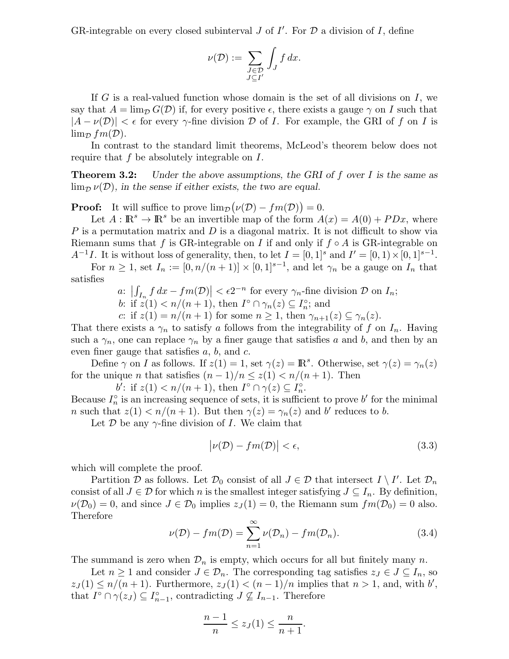GR-integrable on every closed subinterval  $J$  of  $I'$ . For  $D$  a division of  $I$ , define

$$
\nu(\mathcal{D}) := \sum_{\substack{J \in \mathcal{D} \\ J \subseteq I'}} \int_J f \, dx.
$$

If G is a real-valued function whose domain is the set of all divisions on  $I$ , we say that  $A = \lim_{\mathcal{D}} G(\mathcal{D})$  if, for every positive  $\epsilon$ , there exists a gauge  $\gamma$  on I such that  $|A - \nu(\mathcal{D})| < \epsilon$  for every  $\gamma$ -fine division D of I. For example, the GRI of f on I is  $\lim_{\mathcal{D}} fm(\mathcal{D}).$ 

In contrast to the standard limit theorems, McLeod's theorem below does not require that f be absolutely integrable on I.

**Theorem 3.2:** Under the above assumptions, the GRI of f over I is the same as  $\lim_{\mathcal{D}} \nu(\mathcal{D})$ , in the sense if either exists, the two are equal.

**Proof:** It will suffice to prove  $\lim_{\mathcal{D}} (\nu(\mathcal{D}) - fm(\mathcal{D})) = 0.$ 

Let  $A: \mathbb{R}^s \to \mathbb{R}^s$  be an invertible map of the form  $A(x) = A(0) + P D x$ , where  $P$  is a permutation matrix and  $D$  is a diagonal matrix. It is not difficult to show via Riemann sums that f is GR-integrable on I if and only if  $f \circ A$  is GR-integrable on  $A^{-1}I$ . It is without loss of generality, then, to let  $I = [0,1]^s$  and  $I' = [0,1) \times [0,1]^{s-1}$ .

For  $n \geq 1$ , set  $I_n := [0, n/(n+1)] \times [0,1]^{s-1}$ , and let  $\gamma_n$  be a gauge on  $I_n$  that satisfies

a: 
$$
\left| \int_{I_n} f dx - f m(\mathcal{D}) \right| < \epsilon 2^{-n}
$$
 for every  $\gamma_n$ -fine division  $\mathcal{D}$  on  $I_n$ ;

b: if  $z(1) < n/(n+1)$ , then  $I^{\circ} \cap \gamma_n(z) \subseteq I_n^{\circ}$ ; and

c: if  $z(1) = n/(n+1)$  for some  $n \geq 1$ , then  $\gamma_{n+1}(z) \subseteq \gamma_n(z)$ .

That there exists a  $\gamma_n$  to satisfy a follows from the integrability of f on  $I_n$ . Having such a  $\gamma_n$ , one can replace  $\gamma_n$  by a finer gauge that satisfies a and b, and then by an even finer gauge that satisfies  $a, b$ , and  $c$ .

Define  $\gamma$  on I as follows. If  $z(1) = 1$ , set  $\gamma(z) = \mathbb{R}^s$ . Otherwise, set  $\gamma(z) = \gamma_n(z)$ for the unique *n* that satisfies  $(n-1)/n \leq z(1) < n/(n+1)$ . Then

b': if  $z(1) < n/(n+1)$ , then  $I^{\circ} \cap \gamma(z) \subseteq I_n^{\circ}$ .

Because  $I_n^{\circ}$  is an increasing sequence of sets, it is sufficient to prove b' for the minimal *n* such that  $z(1) < n/(n+1)$ . But then  $\gamma(z) = \gamma_n(z)$  and b' reduces to b.

Let  $\mathcal D$  be any  $\gamma$ -fine division of I. We claim that

$$
|\nu(\mathcal{D}) - fm(\mathcal{D})| < \epsilon,\tag{3.3}
$$

which will complete the proof.

Partition D as follows. Let  $\mathcal{D}_0$  consist of all  $J \in \mathcal{D}$  that intersect  $I \setminus I'$ . Let  $\mathcal{D}_n$ consist of all  $J \in \mathcal{D}$  for which n is the smallest integer satisfying  $J \subseteq I_n$ . By definition,  $\nu(\mathcal{D}_0) = 0$ , and since  $J \in \mathcal{D}_0$  implies  $z_J(1) = 0$ , the Riemann sum  $fm(\mathcal{D}_0) = 0$  also. Therefore

$$
\nu(\mathcal{D}) - fm(\mathcal{D}) = \sum_{n=1}^{\infty} \nu(\mathcal{D}_n) - fm(\mathcal{D}_n).
$$
 (3.4)

The summand is zero when  $\mathcal{D}_n$  is empty, which occurs for all but finitely many n.

Let  $n \geq 1$  and consider  $J \in \mathcal{D}_n$ . The corresponding tag satisfies  $z_J \in J \subseteq I_n$ , so  $z_J(1) \leq n/(n+1)$ . Furthermore,  $z_J(1) < (n-1)/n$  implies that  $n > 1$ , and, with b', that  $I^{\circ} \cap \gamma(z_J) \subseteq I_{n-1}^{\circ}$ , contradicting  $J \nsubseteq I_{n-1}$ . Therefore

$$
\frac{n-1}{n} \le z_J(1) \le \frac{n}{n+1}.
$$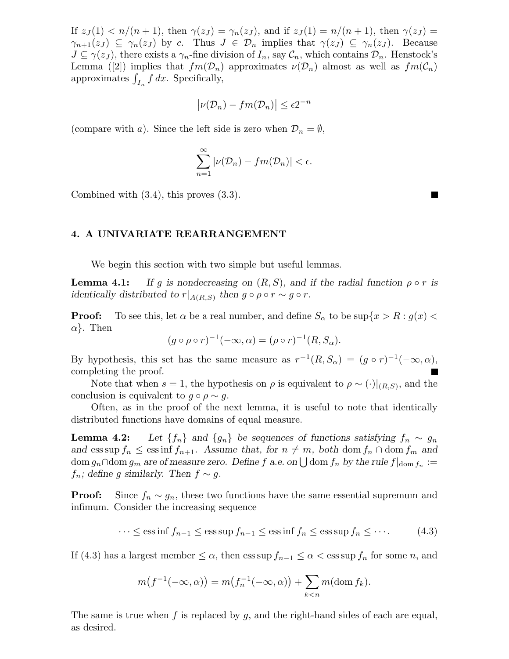If  $z_J(1) < n/(n+1)$ , then  $\gamma(z_J) = \gamma_n(z_J)$ , and if  $z_J(1) = n/(n+1)$ , then  $\gamma(z_J) =$  $\gamma_{n+1}(z_j) \subseteq \gamma_n(z_j)$  by c. Thus  $J \in \mathcal{D}_n$  implies that  $\gamma(z_j) \subseteq \gamma_n(z_j)$ . Because  $J \subseteq \gamma(z_J)$ , there exists a  $\gamma_n$ -fine division of  $I_n$ , say  $\mathcal{C}_n$ , which contains  $\mathcal{D}_n$ . Henstock's Lemma ([2]) implies that  $fm(\mathcal{D}_n)$  approximates  $\nu(\mathcal{D}_n)$  almost as well as  $fm(\mathcal{C}_n)$ approximates  $\int_{I_n} f dx$ . Specifically,

$$
\left|\nu(\mathcal{D}_n) - fm(\mathcal{D}_n)\right| \le \epsilon 2^{-n}
$$

(compare with a). Since the left side is zero when  $\mathcal{D}_n = \emptyset$ ,

$$
\sum_{n=1}^{\infty} |\nu(\mathcal{D}_n) - fm(\mathcal{D}_n)| < \epsilon.
$$

Combined with (3.4), this proves (3.3).

#### 4. A UNIVARIATE REARRANGEMENT

We begin this section with two simple but useful lemmas.

**Lemma 4.1:** If g is nondecreasing on  $(R, S)$ , and if the radial function  $\rho \circ r$  is identically distributed to  $r|_{A(R,S)}$  then  $g \circ \rho \circ r \sim g \circ r$ .

**Proof:** To see this, let  $\alpha$  be a real number, and define  $S_{\alpha}$  to be sup $\{x > R : g(x)$  $\alpha$ . Then

$$
(g \circ \rho \circ r)^{-1}(-\infty, \alpha) = (\rho \circ r)^{-1}(R, S_{\alpha}).
$$

By hypothesis, this set has the same measure as  $r^{-1}(R, S_\alpha) = (g \circ r)^{-1}(-\infty, \alpha)$ , completing the proof.

Note that when  $s = 1$ , the hypothesis on  $\rho$  is equivalent to  $\rho \sim (\cdot)|_{(R,S)}$ , and the conclusion is equivalent to  $q \circ \rho \sim q$ .

Often, as in the proof of the next lemma, it is useful to note that identically distributed functions have domains of equal measure.

**Lemma 4.2:** Let  $\{f_n\}$  and  $\{g_n\}$  be sequences of functions satisfying  $f_n \sim g_n$ and ess sup  $f_n \leq$  ess inf  $f_{n+1}$ . Assume that, for  $n \neq m$ , both dom  $f_n \cap$  dom  $f_m$  and  $\mathrm{dom}\, g_n\cap \mathrm{dom}\, g_m$  are of measure zero. Define  $f$  a.e. on  $\bigcup \mathrm{dom}\, f_n$  by the rule  $f|_{\mathrm{dom}\, f_n}:=$  $f_n$ ; define g similarly. Then  $f \sim g$ .

**Proof:** Since  $f_n \sim g_n$ , these two functions have the same essential supremum and infimum. Consider the increasing sequence

$$
\cdots \le \operatorname{ess\,inf} f_{n-1} \le \operatorname{ess\,sup} f_{n-1} \le \operatorname{ess\,inf} f_n \le \operatorname{ess\,sup} f_n \le \cdots. \tag{4.3}
$$

If (4.3) has a largest member  $\leq \alpha$ , then ess sup  $f_{n-1} \leq \alpha <$  ess sup  $f_n$  for some n, and

$$
m(f^{-1}(-\infty,\alpha)) = m(f_n^{-1}(-\infty,\alpha)) + \sum_{k < n} m(\text{dom } f_k).
$$

The same is true when f is replaced by  $q$ , and the right-hand sides of each are equal, as desired.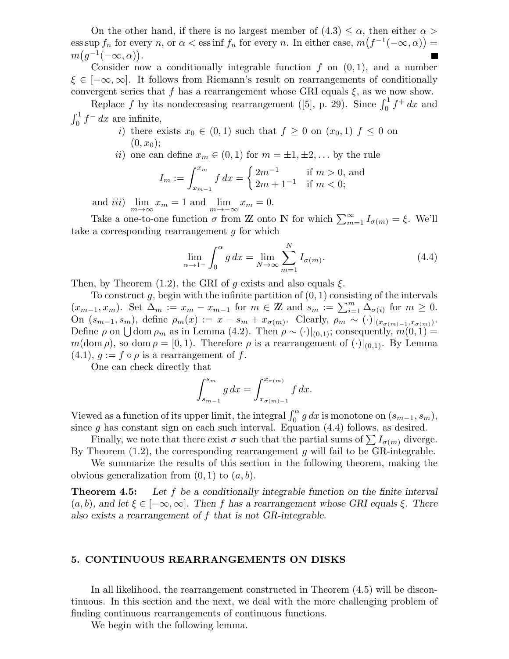On the other hand, if there is no largest member of  $(4.3) \leq \alpha$ , then either  $\alpha >$ ess sup  $f_n$  for every n, or  $\alpha <$  ess inf  $f_n$  for every n. In either case,  $m(f^{-1}(-\infty, \alpha)) =$  $m(g^{-1}(-\infty,\alpha)).$ 

Consider now a conditionally integrable function  $f$  on  $(0, 1)$ , and a number  $\xi \in [-\infty, \infty]$ . It follows from Riemann's result on rearrangements of conditionally convergent series that f has a rearrangement whose GRI equals  $\xi$ , as we now show.

Replace f by its nondecreasing rearrangement ([5], p. 29). Since  $\int_0^1 f^+ dx$  and  $\int_0^1 f^{-} dx$  are infinite,

- i) there exists  $x_0 \in (0,1)$  such that  $f \geq 0$  on  $(x_0,1)$   $f \leq 0$  on  $(0, x_0);$
- ii) one can define  $x_m \in (0,1)$  for  $m = \pm 1, \pm 2, \ldots$  by the rule

$$
I_m := \int_{x_{m-1}}^{x_m} f \, dx = \begin{cases} 2m^{-1} & \text{if } m > 0, \text{ and} \\ 2m + 1^{-1} & \text{if } m < 0; \end{cases}
$$

and *iii*)  $\lim_{m \to \infty} x_m = 1$  and  $\lim_{m \to -\infty} x_m = 0$ .

Take a one-to-one function  $\sigma$  from  $\mathbb Z$  onto  $\mathbb N$  for which  $\sum_{m=1}^{\infty} I_{\sigma(m)} = \xi$ . We'll take a corresponding rearrangement  $g$  for which

$$
\lim_{\alpha \to 1^{-}} \int_{0}^{\alpha} g \, dx = \lim_{N \to \infty} \sum_{m=1}^{N} I_{\sigma(m)}.
$$
\n(4.4)

Then, by Theorem (1.2), the GRI of g exists and also equals  $\xi$ .

To construct g, begin with the infinite partition of  $(0, 1)$  consisting of the intervals  $(x_{m-1}, x_m)$ . Set  $\Delta_m := x_m - x_{m-1}$  for  $m \in \mathbb{Z}$  and  $s_m := \sum_{i=1}^m \tilde{\Delta}_{\sigma(i)}$  for  $m \geq 0$ . On  $(s_{m-1}, s_m)$ , define  $\rho_m(x) := x - s_m + x_{\sigma(m)}$ . Clearly,  $\rho_m \sim (\cdot)|_{(x_{\sigma(m)-1}, x_{\sigma(m)})}$ . Define  $\rho$  on  $\bigcup$  dom  $\rho_m$  as in Lemma (4.2). Then  $\rho \sim (\cdot)|_{(0,1)}$ ; consequently,  $m(0, 1) =$  $m(\text{dom }\rho)$ , so dom  $\rho = [0, 1)$ . Therefore  $\rho$  is a rearrangement of  $(\cdot)|_{(0,1)}$ . By Lemma  $(4.1), g := f \circ \rho$  is a rearrangement of f.

One can check directly that

$$
\int_{s_{m-1}}^{s_m} g \, dx = \int_{x_{\sigma(m)-1}}^{x_{\sigma(m)}} f \, dx.
$$

Viewed as a function of its upper limit, the integral  $\int_0^{\alpha} g dx$  is monotone on  $(s_{m-1}, s_m)$ , since g has constant sign on each such interval. Equation (4.4) follows, as desired.

Finally, we note that there exist  $\sigma$  such that the partial sums of  $\sum I_{\sigma(m)}$  diverge. By Theorem  $(1.2)$ , the corresponding rearrangement q will fail to be GR-integrable.

We summarize the results of this section in the following theorem, making the obvious generalization from  $(0, 1)$  to  $(a, b)$ .

**Theorem 4.5:** Let f be a conditionally integrable function on the finite interval  $(a, b)$ , and let  $\xi \in [-\infty, \infty]$ . Then f has a rearrangement whose GRI equals  $\xi$ . There also exists a rearrangement of f that is not GR-integrable.

#### 5. CONTINUOUS REARRANGEMENTS ON DISKS

In all likelihood, the rearrangement constructed in Theorem (4.5) will be discontinuous. In this section and the next, we deal with the more challenging problem of finding continuous rearrangements of continuous functions.

We begin with the following lemma.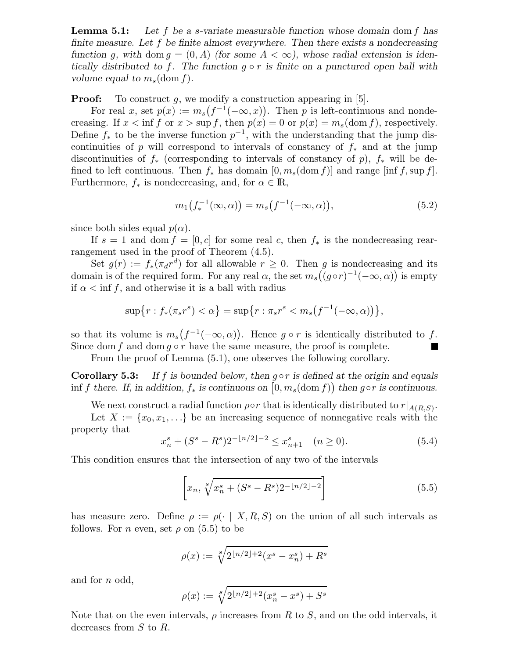**Lemma 5.1:** Let f be a s-variate measurable function whose domain dom f has finite measure. Let f be finite almost everywhere. Then there exists a nondecreasing function g, with dom  $g = (0, A)$  (for some  $A < \infty$ ), whose radial extension is identically distributed to f. The function  $g \circ r$  is finite on a punctured open ball with volume equal to  $m_s$  (dom f).

**Proof:** To construct g, we modify a construction appearing in  $[5]$ .

For real x, set  $p(x) := m_s(f^{-1}(-\infty, x))$ . Then p is left-continuous and nondecreasing. If  $x < \inf f$  or  $x > \sup f$ , then  $p(x) = 0$  or  $p(x) = m_s(\text{dom } f)$ , respectively. Define  $f_*$  to be the inverse function  $p^{-1}$ , with the understanding that the jump discontinuities of p will correspond to intervals of constancy of  $f_*$  and at the jump discontinuities of  $f_*$  (corresponding to intervals of constancy of p),  $f_*$  will be defined to left continuous. Then  $f_*$  has domain  $[0, m_s(\text{dom } f)]$  and range  $[\text{inf } f, \text{sup } f]$ . Furthermore,  $f_*$  is nondecreasing, and, for  $\alpha \in \mathbb{R}$ ,

$$
m_1(f_*^{-1}(\infty, \alpha)) = m_s(f^{-1}(-\infty, \alpha)),
$$
\n(5.2)

since both sides equal  $p(\alpha)$ .

If  $s = 1$  and dom  $f = [0, c]$  for some real c, then  $f_*$  is the nondecreasing rearrangement used in the proof of Theorem (4.5).

Set  $g(r) := f_*(\pi_d r^d)$  for all allowable  $r \geq 0$ . Then g is nondecreasing and its domain is of the required form. For any real  $\alpha$ , the set  $m_s((g \circ r)^{-1}(-\infty, \alpha))$  is empty if  $\alpha < \inf f$ , and otherwise it is a ball with radius

$$
\sup\{r: f_*(\pi_s r^s) < \alpha\} = \sup\{r: \pi_s r^s < m_s(f^{-1}(-\infty, \alpha))\},\
$$

so that its volume is  $m_s(f^{-1}(-\infty,\alpha))$ . Hence  $g \circ r$  is identically distributed to f. Since dom f and dom  $g \circ r$  have the same measure, the proof is complete.

From the proof of Lemma (5.1), one observes the following corollary.

**Corollary 5.3:** If f is bounded below, then  $q \circ r$  is defined at the origin and equals inf f there. If, in addition,  $f_*$  is continuous on  $[0, m_s(\text{dom } f))$  then gor is continuous.

We next construct a radial function  $\rho \circ r$  that is identically distributed to  $r|_{A(R,S)}$ .

Let  $X := \{x_0, x_1, \ldots\}$  be an increasing sequence of nonnegative reals with the property that

$$
x_n^s + (S^s - R^s)2^{-\lfloor n/2 \rfloor - 2} \le x_{n+1}^s \quad (n \ge 0). \tag{5.4}
$$

This condition ensures that the intersection of any two of the intervals

$$
\[x_n, \sqrt[8]{x_n^s + (S^s - R^s)2^{-\lfloor n/2 \rfloor - 2}}\] \tag{5.5}
$$

has measure zero. Define  $\rho := \rho(\cdot | X, R, S)$  on the union of all such intervals as follows. For *n* even, set  $\rho$  on (5.5) to be

$$
\rho(x) := \sqrt[8]{2^{\lfloor n/2 \rfloor + 2}(x^s - x_n^s) + R^s}
$$

and for n odd,

$$
\rho(x) := \sqrt[8]{2^{\lfloor n/2 \rfloor + 2}(x_n^s - x^s) + S^s}
$$

Note that on the even intervals,  $\rho$  increases from R to S, and on the odd intervals, it decreases from S to R.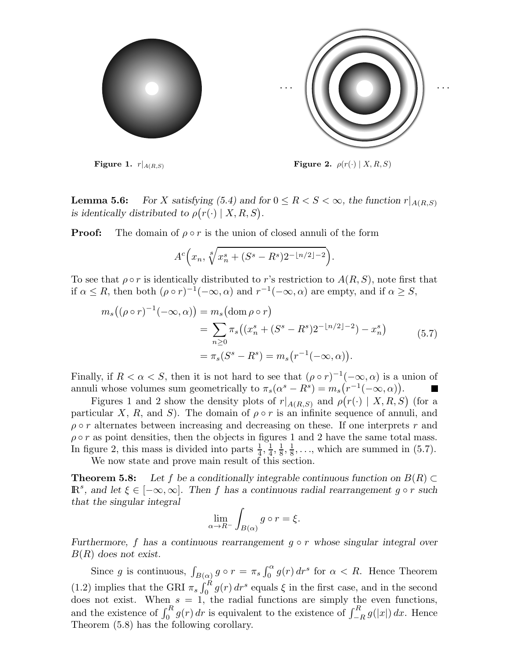

Figure 1.  $r|_{A(R,S)}$  Figure 2.  $\rho(r(\cdot) | X, R, S)$ 

.

**Lemma 5.6:** For X satisfying (5.4) and for  $0 \leq R < S < \infty$ , the function  $r|_{A(R,S)}$ is identically distributed to  $\rho(r(\cdot) | X, R, S)$ .

**Proof:** The domain of  $\rho \circ r$  is the union of closed annuli of the form

$$
A^c\left(x_n, \sqrt[8]{x_n^s + (S^s - R^s)2^{-\lfloor n/2 \rfloor - 2}}\right)
$$

To see that  $\rho \circ r$  is identically distributed to r's restriction to  $A(R, S)$ , note first that if  $\alpha \leq R$ , then both  $(\rho \circ r)^{-1}(-\infty, \alpha)$  and  $r^{-1}(-\infty, \alpha)$  are empty, and if  $\alpha \geq S$ ,

$$
m_s((\rho \circ r)^{-1}(-\infty, \alpha)) = m_s(\text{dom }\rho \circ r)
$$
  
= 
$$
\sum_{n\geq 0} \pi_s((x_n^s + (S^s - R^s)2^{-\lfloor n/2 \rfloor - 2}) - x_n^s)
$$
  
= 
$$
\pi_s(S^s - R^s) = m_s(r^{-1}(-\infty, \alpha)).
$$
 (5.7)

Finally, if  $R < \alpha < S$ , then it is not hard to see that  $(\rho \circ r)^{-1}(-\infty, \alpha)$  is a union of annuli whose volumes sum geometrically to  $\pi_s(\alpha^s - R^s) = m_s(r^{-1}(-\infty, \alpha)).$  $\blacksquare$ 

Figures 1 and 2 show the density plots of  $r|_{A(R,S)}$  and  $\rho(r(\cdot) | X, R, S)$  (for a particular X, R, and S). The domain of  $\rho \circ r$  is an infinite sequence of annuli, and  $\rho \circ r$  alternates between increasing and decreasing on these. If one interprets r and  $\rho \circ r$  as point densities, then the objects in figures 1 and 2 have the same total mass. In figure 2, this mass is divided into parts  $\frac{1}{4}$ ,  $\frac{1}{4}$  $\frac{1}{4}, \frac{1}{8}$  $\frac{1}{8}, \frac{1}{8}$  $\frac{1}{8}$ ,..., which are summed in (5.7).

We now state and prove main result of this section.

**Theorem 5.8:** Let f be a conditionally integrable continuous function on  $B(R) \subset$  $\mathbb{R}^s$ , and let  $\xi \in [-\infty, \infty]$ . Then f has a continuous radial rearrangement  $g \circ r$  such that the singular integral

$$
\lim_{\alpha \to R^-} \int_{B(\alpha)} g \circ r = \xi.
$$

Furthermore, f has a continuous rearrangement  $g \circ r$  whose singular integral over  $B(R)$  does not exist.

Since g is continuous,  $\int_{B(\alpha)} g \circ r = \pi_s \int_0^{\alpha} g(r) dr^s$  for  $\alpha < R$ . Hence Theorem (1.2) implies that the GRI  $\pi_s \int_0^R g(r) dr^s$  equals  $\xi$  in the first case, and in the second does not exist. When  $s = 1$ , the radial functions are simply the even functions, and the existence of  $\int_0^R g(r) dr$  is equivalent to the existence of  $\int_{-R}^R g(|x|) dx$ . Hence Theorem (5.8) has the following corollary.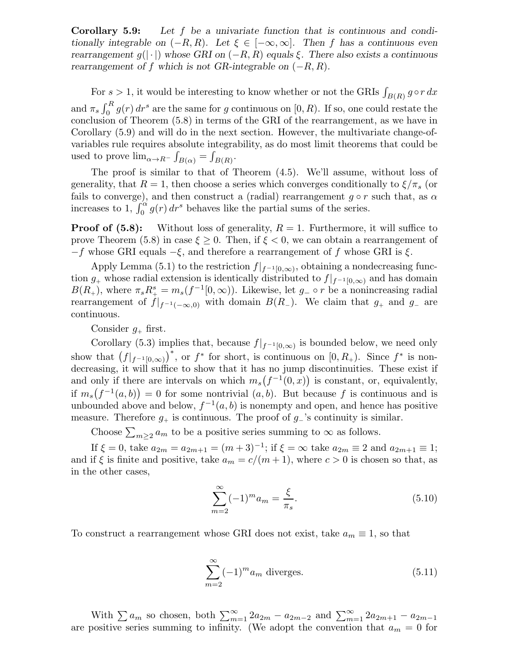Corollary 5.9: Let f be a univariate function that is continuous and conditionally integrable on  $(-R, R)$ . Let  $\xi \in [-\infty, \infty]$ . Then f has a continuous even rearrangement  $g(|\cdot|)$  whose GRI on  $(-R, R)$  equals  $\xi$ . There also exists a continuous rearrangement of f which is not GR-integrable on  $(-R, R)$ .

For  $s > 1$ , it would be interesting to know whether or not the GRIs  $\int_{B(R)} g \circ r \, dx$ and  $\pi_s \int_0^R g(r) dr^s$  are the same for g continuous on [0, R). If so, one could restate the conclusion of Theorem (5.8) in terms of the GRI of the rearrangement, as we have in Corollary (5.9) and will do in the next section. However, the multivariate change-ofvariables rule requires absolute integrability, as do most limit theorems that could be used to prove  $\lim_{\alpha \to R^-} \int_{B(\alpha)} = \int_{B(R)}$ .

The proof is similar to that of Theorem (4.5). We'll assume, without loss of generality, that  $R = 1$ , then choose a series which converges conditionally to  $\xi/\pi_s$  (or fails to converge), and then construct a (radial) rearrangement  $g \circ r$  such that, as  $\alpha$ increases to  $1, \int_0^{\alpha} g(r) dr^s$  behaves like the partial sums of the series.

**Proof of (5.8):** Without loss of generality,  $R = 1$ . Furthermore, it will suffice to prove Theorem (5.8) in case  $\xi \geq 0$ . Then, if  $\xi < 0$ , we can obtain a rearrangement of  $-f$  whose GRI equals  $-\xi$ , and therefore a rearrangement of f whose GRI is  $\xi$ .

Apply Lemma (5.1) to the restriction  $f|_{f^{-1}[0,\infty)}$ , obtaining a nondecreasing function  $g_+$  whose radial extension is identically distributed to  $f|_{f^{-1}[0,\infty)}$  and has domain  $B(R_+)$ , where  $\pi_s R_+^s = m_s(f^{-1}[0,\infty))$ . Likewise, let  $g_- \circ r$  be a nonincreasing radial rearrangement of  $f|_{f^{-1}(-\infty,0)}$  with domain  $B(R_-)$ . We claim that  $g_+$  and  $g_-$  are continuous.

Consider  $g_{+}$  first.

Corollary (5.3) implies that, because  $f|_{f^{-1}[0,\infty)}$  is bounded below, we need only show that  $(f|_{f^{-1}[0,\infty)})^*$ , or  $f^*$  for short, is continuous on  $[0,R_+)$ . Since  $f^*$  is nondecreasing, it will suffice to show that it has no jump discontinuities. These exist if and only if there are intervals on which  $m_s(f^{-1}(0, x))$  is constant, or, equivalently, if  $m_s(f^{-1}(a,b)) = 0$  for some nontrivial  $(a,b)$ . But because f is continuous and is unbounded above and below,  $f^{-1}(a, b)$  is nonempty and open, and hence has positive measure. Therefore  $g_+$  is continuous. The proof of  $g_-'$ 's continuity is similar.

Choose  $\sum_{m\geq 2} a_m$  to be a positive series summing to  $\infty$  as follows.

If  $\xi = 0$ , take  $a_{2m} = a_{2m+1} = (m+3)^{-1}$ ; if  $\xi = \infty$  take  $a_{2m} \equiv 2$  and  $a_{2m+1} \equiv 1$ ; and if  $\xi$  is finite and positive, take  $a_m = c/(m+1)$ , where  $c > 0$  is chosen so that, as in the other cases,

$$
\sum_{m=2}^{\infty} (-1)^m a_m = \frac{\xi}{\pi_s}.
$$
\n(5.10)

To construct a rearrangement whose GRI does not exist, take  $a_m \equiv 1$ , so that

$$
\sum_{m=2}^{\infty} (-1)^m a_m
$$
 diverges. (5.11)

With  $\sum a_m$  so chosen, both  $\sum_{m=1}^{\infty} 2a_{2m} - a_{2m-2}$  and  $\sum_{m=1}^{\infty} 2a_{2m+1} - a_{2m-1}$ are positive series summing to infinity. (We adopt the convention that  $a_m = 0$  for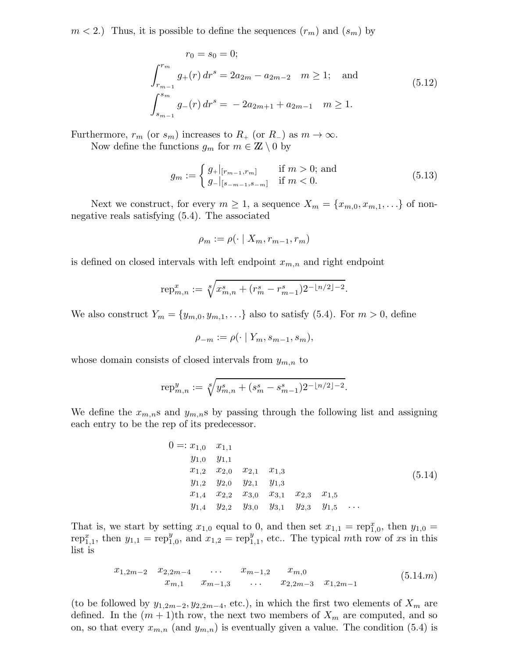$m < 2$ .) Thus, it is possible to define the sequences  $(r_m)$  and  $(s_m)$  by

$$
r_0 = s_0 = 0;
$$
  
\n
$$
\int_{r_{m-1}}^{r_m} g_+(r) dr^s = 2a_{2m} - a_{2m-2} \quad m \ge 1; \text{ and}
$$
  
\n
$$
\int_{s_{m-1}}^{s_m} g_-(r) dr^s = -2a_{2m+1} + a_{2m-1} \quad m \ge 1.
$$
\n(5.12)

Furthermore,  $r_m$  (or  $s_m$ ) increases to  $R_+$  (or  $R_-$ ) as  $m \to \infty$ .

Now define the functions  $g_m$  for  $m \in \mathbb{Z} \setminus \{0\}$ 

$$
g_m := \begin{cases} g_+|_{[r_{m-1},r_m]} & \text{if } m > 0; \text{ and} \\ g_-|_{[s_{-m-1},s_{-m}]} & \text{if } m < 0. \end{cases}
$$
 (5.13)

Next we construct, for every  $m \geq 1$ , a sequence  $X_m = \{x_{m,0}, x_{m,1}, \ldots\}$  of nonnegative reals satisfying (5.4). The associated

$$
\rho_m := \rho(\cdot \mid X_m, r_{m-1}, r_m)
$$

is defined on closed intervals with left endpoint  $x_{m,n}$  and right endpoint

$$
rep_{m,n}^x := \sqrt[8]{x_{m,n}^s + (r_m^s - r_{m-1}^s)2^{-\lfloor n/2 \rfloor - 2}}.
$$

We also construct  $Y_m = \{y_{m,0}, y_{m,1}, \ldots\}$  also to satisfy (5.4). For  $m > 0$ , define

$$
\rho_{-m} := \rho(\cdot \mid Y_m, s_{m-1}, s_m),
$$

whose domain consists of closed intervals from  $y_{m,n}$  to

$$
\text{rep}_{m,n}^y := \sqrt[8]{y_{m,n}^s + (s_m^s - s_{m-1}^s)2^{-\lfloor n/2 \rfloor - 2}}.
$$

We define the  $x_{m,n}$ s and  $y_{m,n}$ s by passing through the following list and assigning each entry to be the rep of its predecessor.

$$
0 =: x_{1,0} \t x_{1,1} \t y_{1,0} \t y_{1,1} \t x_{1,2} \t x_{2,0} \t x_{2,1} \t x_{1,3} \t y_{1,2} \t y_{2,0} \t y_{2,1} \t y_{1,3} \t x_{1,4} \t x_{2,2} \t x_{3,0} \t x_{3,1} \t x_{2,3} \t x_{1,5} \t y_{1,4} \t y_{2,2} \t y_{3,0} \t y_{3,1} \t y_{2,3} \t y_{1,5} \t ...
$$
\t(5.14)

That is, we start by setting  $x_{1,0}$  equal to 0, and then set  $x_{1,1} = \text{rep}_{1,0}^x$ , then  $y_{1,0} =$ rep<sup>*x*</sup><sub>1,1</sub>, then  $y_{1,1} = \text{rep}_1^y$  $y_{1,0}$ , and  $x_{1,2} = \text{rep}_1^y$  $y_{1,1}^y$ , etc.. The typical mth row of xs in this list is

$$
x_{1,2m-2} \quad x_{2,2m-4} \quad \dots \quad x_{m-1,2} \quad x_{m,0}
$$
  
\n
$$
x_{m,1} \quad x_{m-1,3} \quad \dots \quad x_{2,2m-3} \quad x_{1,2m-1}
$$
 (5.14.m)

(to be followed by  $y_{1,2m-2}, y_{2,2m-4}$ , etc.), in which the first two elements of  $X_m$  are defined. In the  $(m+1)$ th row, the next two members of  $X_m$  are computed, and so on, so that every  $x_{m,n}$  (and  $y_{m,n}$ ) is eventually given a value. The condition (5.4) is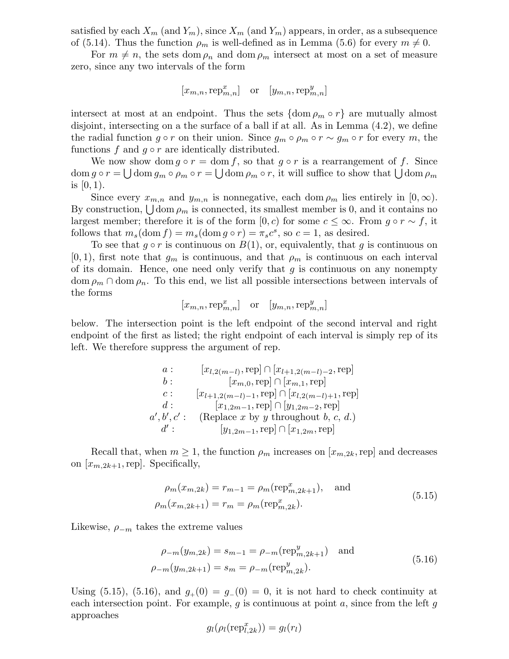satisfied by each  $X_m$  (and  $Y_m$ ), since  $X_m$  (and  $Y_m$ ) appears, in order, as a subsequence of (5.14). Thus the function  $\rho_m$  is well-defined as in Lemma (5.6) for every  $m \neq 0$ .

For  $m \neq n$ , the sets dom  $\rho_n$  and dom  $\rho_m$  intersect at most on a set of measure zero, since any two intervals of the form

$$
[x_{m,n}, \operatorname{rep}_{m,n}^x] \quad \text{or} \quad [y_{m,n}, \operatorname{rep}_{m,n}^y]
$$

intersect at most at an endpoint. Thus the sets  $\{\text{dom } \rho_m \circ r\}$  are mutually almost disjoint, intersecting on a the surface of a ball if at all. As in Lemma (4.2), we define the radial function  $g \circ r$  on their union. Since  $g_m \circ \rho_m \circ r \sim g_m \circ r$  for every m, the functions f and  $g \circ r$  are identically distributed.

We now show dom  $g \circ r = \text{dom } f$ , so that  $g \circ r$  is a rearrangement of f. Since  $\text{dom } g \circ r = \bigcup \text{dom } g_m \circ \rho_m \circ r = \bigcup \text{dom } \rho_m \circ r$ , it will suffice to show that  $\bigcup \text{dom } \rho_m$ is  $[0, 1)$ .

Since every  $x_{m,n}$  and  $y_{m,n}$  is nonnegative, each dom  $\rho_m$  lies entirely in  $[0,\infty)$ . By construction,  $\bigcup$  dom  $\rho_m$  is connected, its smallest member is 0, and it contains no largest member; therefore it is of the form [0, c) for some  $c \leq \infty$ . From  $g \circ r \sim f$ , it follows that  $m_s(\text{dom } f) = m_s(\text{dom } g \circ r) = \pi_s c^s$ , so  $c = 1$ , as desired.

To see that  $g \circ r$  is continuous on  $B(1)$ , or, equivalently, that g is continuous on  $[0, 1)$ , first note that  $g_m$  is continuous, and that  $\rho_m$  is continuous on each interval of its domain. Hence, one need only verify that  $g$  is continuous on any nonempty  $\text{dom } \rho_m \cap \text{dom } \rho_n$ . To this end, we list all possible intersections between intervals of the forms

$$
[x_{m,n}, \operatorname{rep}_{m,n}^x]
$$
 or  $[y_{m,n}, \operatorname{rep}_{m,n}^y]$ 

below. The intersection point is the left endpoint of the second interval and right endpoint of the first as listed; the right endpoint of each interval is simply rep of its left. We therefore suppress the argument of rep.

*a*: 
$$
[x_{l,2(m-l)}, rep] \cap [x_{l+1,2(m-l)-2}, rep]
$$
  
\n*b*:  $[x_{m,0}, rep] \cap [x_{m,1}, rep]$   
\n*c*:  $[x_{l+1,2(m-l)-1}, rep] \cap [x_{l,2(m-l)+1}, rep]$   
\n*d*:  $[x_{1,2m-1}, rep] \cap [y_{1,2m-2}, rep]$   
\n*a'*, *b'*, *c'*: (Replace *x* by *y* throughout *b*, *c*, *d*.)  
\n*d'*:  $[y_{1,2m-1}, rep] \cap [x_{1,2m}, rep]$ 

Recall that, when  $m \geq 1$ , the function  $\rho_m$  increases on  $[x_{m,2k}, rep]$  and decreases on  $[x_{m,2k+1}, rep]$ . Specifically,

$$
\rho_m(x_{m,2k}) = r_{m-1} = \rho_m(\text{rep}_{m,2k+1}^x), \text{ and}
$$
\n
$$
\rho_m(x_{m,2k+1}) = r_m = \rho_m(\text{rep}_{m,2k}^x).
$$
\n(5.15)

Likewise,  $\rho_{-m}$  takes the extreme values

$$
\rho_{-m}(y_{m,2k}) = s_{m-1} = \rho_{-m}(\text{rep}_{m,2k+1}^y) \text{ and}
$$
  

$$
\rho_{-m}(y_{m,2k+1}) = s_m = \rho_{-m}(\text{rep}_{m,2k}^y).
$$
 (5.16)

Using (5.15), (5.16), and  $g_{+}(0) = g_{-}(0) = 0$ , it is not hard to check continuity at each intersection point. For example,  $g$  is continuous at point  $a$ , since from the left  $g$ approaches

$$
g_l(\rho_l(\operatorname{rep}_{l,2k}^x)) = g_l(r_l)
$$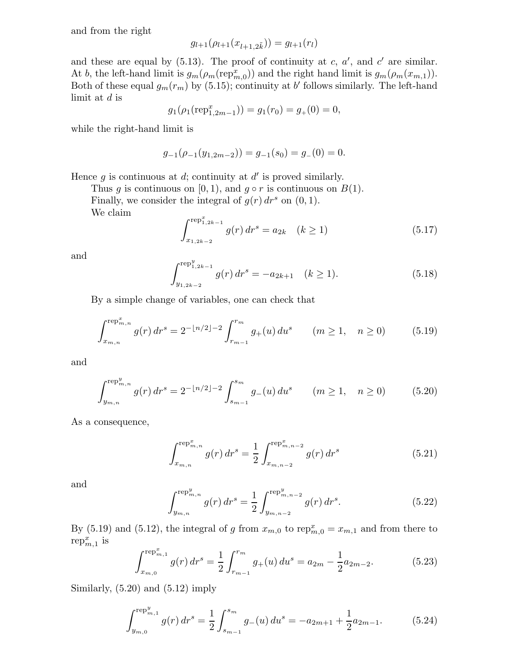and from the right

$$
g_{l+1}(\rho_{l+1}(x_{l+1,2\tilde{k}})) = g_{l+1}(r_l)
$$

and these are equal by  $(5.13)$ . The proof of continuity at c, a', and c' are similar. At b, the left-hand limit is  $g_m(\rho_m(\text{rep}_{m,0}^x))$  and the right hand limit is  $g_m(\rho_m(x_{m,1}))$ . Both of these equal  $g_m(r_m)$  by (5.15); continuity at b' follows similarly. The left-hand limit at d is

$$
g_1(\rho_1(\text{rep}_{1,2m-1}^x)) = g_1(r_0) = g_+(0) = 0,
$$

while the right-hand limit is

$$
g_{-1}(\rho_{-1}(y_{1,2m-2})) = g_{-1}(s_0) = g_{-}(0) = 0.
$$

Hence  $g$  is continuous at  $d$ ; continuity at  $d'$  is proved similarly.

Thus g is continuous on [0, 1), and  $g \circ r$  is continuous on  $B(1)$ .

Finally, we consider the integral of  $g(r) dr^s$  on  $(0, 1)$ .

We claim

$$
\int_{x_{1,2k-2}}^{\text{rep}_{1,2k-1}^x} g(r) \, dr^s = a_{2k} \quad (k \ge 1)
$$
\n(5.17)

and

$$
\int_{y_{1,2k-2}}^{r \in \mathcal{P}_{1,2k-1}^y} g(r) dr^s = -a_{2k+1} \quad (k \ge 1).
$$
 (5.18)

By a simple change of variables, one can check that

$$
\int_{x_{m,n}}^{\text{rep}_{m,n}^x} g(r) \, dr^s = 2^{-\lfloor n/2 \rfloor - 2} \int_{r_{m-1}}^{r_m} g_+(u) \, du^s \qquad (m \ge 1, \quad n \ge 0) \tag{5.19}
$$

and

$$
\int_{y_{m,n}}^{\text{rep}_{m,n}^y} g(r) \, dr^s = 2^{-\lfloor n/2 \rfloor - 2} \int_{s_{m-1}}^{s_m} g_-(u) \, du^s \qquad (m \ge 1, \quad n \ge 0) \tag{5.20}
$$

As a consequence,

$$
\int_{x_{m,n}}^{\text{rep}_{m,n}^x} g(r) \, dr^s = \frac{1}{2} \int_{x_{m,n-2}}^{\text{rep}_{m,n-2}^x} g(r) \, dr^s \tag{5.21}
$$

and

$$
\int_{y_{m,n}}^{\text{rep}_{m,n}^y} g(r) \, dr^s = \frac{1}{2} \int_{y_{m,n-2}}^{\text{rep}_{m,n-2}^y} g(r) \, dr^s. \tag{5.22}
$$

By (5.19) and (5.12), the integral of g from  $x_{m,0}$  to  $\text{rep}_{m,0}^x = x_{m,1}$  and from there to  $\operatorname{rep}_{m,1}^x$  is

$$
\int_{x_{m,0}}^{\text{rep}_{m,1}^x} g(r) \, dr^s = \frac{1}{2} \int_{r_{m-1}}^{r_m} g_+(u) \, du^s = a_{2m} - \frac{1}{2} a_{2m-2}.\tag{5.23}
$$

Similarly,  $(5.20)$  and  $(5.12)$  imply

$$
\int_{y_{m,0}}^{\text{rep}_{m,1}^y} g(r) \, dr^s = \frac{1}{2} \int_{s_{m-1}}^{s_m} g_-(u) \, du^s = -a_{2m+1} + \frac{1}{2} a_{2m-1}.\tag{5.24}
$$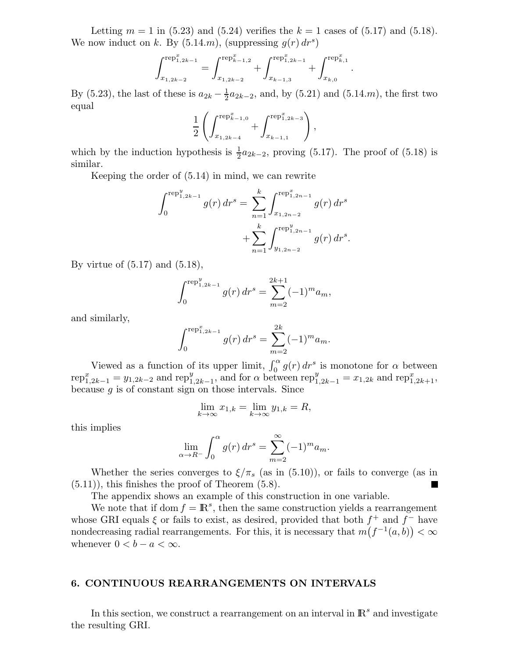Letting  $m = 1$  in (5.23) and (5.24) verifies the  $k = 1$  cases of (5.17) and (5.18). We now induct on k. By  $(5.14.m)$ , (suppressing  $g(r) dr<sup>s</sup>$ )

$$
\int_{x_{1,2k-2}}^{rep^{x}_{1,2k-1}} = \int_{x_{1,2k-2}}^{rep^{x}_{k-1,2}} + \int_{x_{k-1,3}}^{rep^{x}_{1,2k-1}} + \int_{x_{k,0}}^{rep^{x}_{k,1}}
$$

.

By (5.23), the last of these is  $a_{2k} - \frac{1}{2}$  $\frac{1}{2}a_{2k-2}$ , and, by (5.21) and (5.14.*m*), the first two equal

$$
\frac{1}{2} \left( \int_{x_{1,2k-4}}^{\text{rep}_{k-1,0}^x} + \int_{x_{k-1,1}}^{\text{rep}_{1,2k-3}^x} \right),
$$

which by the induction hypothesis is  $\frac{1}{2}a_{2k-2}$ , proving (5.17). The proof of (5.18) is similar.

Keeping the order of (5.14) in mind, we can rewrite

$$
\int_0^{\text{rep}_{1,2k-1}^y} g(r) \, dr^s = \sum_{n=1}^k \int_{x_{1,2n-2}}^{\text{rep}_{1,2n-1}^x} g(r) \, dr^s
$$

$$
+ \sum_{n=1}^k \int_{y_{1,2n-2}}^{\text{rep}_{1,2n-1}^y} g(r) \, dr^s.
$$

By virtue of  $(5.17)$  and  $(5.18)$ ,

$$
\int_0^{\text{rep}_{1,2k-1}^y} g(r) \, dr^s = \sum_{m=2}^{2k+1} (-1)^m a_m,
$$

and similarly,

$$
\int_0^{\text{rep}_{1,2k-1}^x} g(r) \, dr^s = \sum_{m=2}^{2k} (-1)^m a_m.
$$

Viewed as a function of its upper limit,  $\int_0^\alpha g(r) dr s$  is monotone for  $\alpha$  between rep $x_{1,2k-1}^x = y_{1,2k-2}$  and rep $y_{1,2k-1}^y$ , and for  $\alpha$  between rep $y_{1,2k-1}^y = x_{1,2k}$  and rep $x_{1,2k+1}^x$ , because  $g$  is of constant sign on those intervals. Since

$$
\lim_{k \to \infty} x_{1,k} = \lim_{k \to \infty} y_{1,k} = R,
$$

this implies

$$
\lim_{\alpha \to R^{-}} \int_{0}^{\alpha} g(r) dr^{s} = \sum_{m=2}^{\infty} (-1)^{m} a_{m}.
$$

Whether the series converges to  $\xi/\pi_s$  (as in (5.10)), or fails to converge (as in  $(5.11)$ , this finishes the proof of Theorem  $(5.8)$ .

The appendix shows an example of this construction in one variable.

We note that if dom  $f = \mathbb{R}^s$ , then the same construction yields a rearrangement whose GRI equals  $\xi$  or fails to exist, as desired, provided that both  $f^+$  and  $f^-$  have nondecreasing radial rearrangements. For this, it is necessary that  $m(f^{-1}(a, b)) < \infty$ whenever  $0 < b - a < \infty$ .

# 6. CONTINUOUS REARRANGEMENTS ON INTERVALS

In this section, we construct a rearrangement on an interval in  $\mathbb{R}^s$  and investigate the resulting GRI.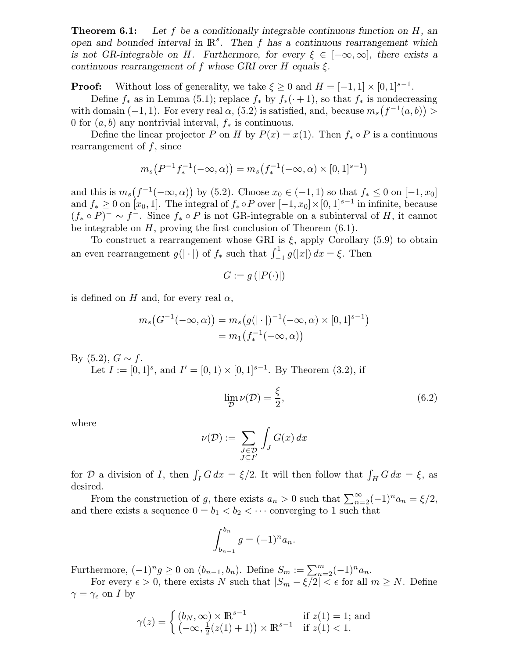**Theorem 6.1:** Let f be a conditionally integrable continuous function on  $H$ , an open and bounded interval in  $\mathbb{R}^s$ . Then f has a continuous rearrangement which is not GR-integrable on H. Furthermore, for every  $\xi \in [-\infty, \infty]$ , there exists a continuous rearrangement of f whose GRI over H equals  $\xi$ .

**Proof:** Without loss of generality, we take  $\xi \ge 0$  and  $H = [-1, 1] \times [0, 1]^{s-1}$ .

Define  $f_*$  as in Lemma (5.1); replace  $f_*$  by  $f_*(\cdot + 1)$ , so that  $f_*$  is nondecreasing with domain  $(-1, 1)$ . For every real  $\alpha$ ,  $(5.2)$  is satisfied, and, because  $m_s(f^{-1}(a, b))$ 0 for  $(a, b)$  any nontrivial interval,  $f_*$  is continuous.

Define the linear projector P on H by  $P(x) = x(1)$ . Then  $f_* \circ P$  is a continuous rearrangement of  $f$ , since

$$
m_s(P^{-1}f_*^{-1}(-\infty,\alpha)) = m_s(f_*^{-1}(-\infty,\alpha) \times [0,1]^{s-1})
$$

and this is  $m_s(f^{-1}(-\infty,\alpha))$  by (5.2). Choose  $x_0 \in (-1,1)$  so that  $f_* \leq 0$  on  $[-1,x_0]$ and  $f_* \geq 0$  on  $[x_0, 1]$ . The integral of  $f_* \circ P$  over  $[-1, x_0] \times [0, 1]^{s-1}$  in infinite, because  $(f_* \circ P)^- \sim f^-$ . Since  $f_* \circ P$  is not GR-integrable on a subinterval of H, it cannot be integrable on  $H$ , proving the first conclusion of Theorem  $(6.1)$ .

To construct a rearrangement whose GRI is  $\xi$ , apply Corollary (5.9) to obtain an even rearrangement  $g(|\cdot|)$  of  $f_*$  such that  $\int_{-1}^{1} g(|x|) dx = \xi$ . Then

$$
G := g\left(|P(\cdot)|\right)
$$

is defined on H and, for every real  $\alpha$ ,

$$
m_s(G^{-1}(-\infty, \alpha)) = m_s(g(|\cdot|)^{-1}(-\infty, \alpha) \times [0, 1]^{s-1})
$$
  
=  $m_1(f_*^{-1}(-\infty, \alpha))$ 

By  $(5.2)$ ,  $G \sim f$ . Let  $I := [0,1]^s$ , and  $I' = [0,1) \times [0,1]^{s-1}$ . By Theorem (3.2), if

$$
\lim_{\mathcal{D}} \nu(\mathcal{D}) = \frac{\xi}{2},\tag{6.2}
$$

where

$$
\nu(\mathcal{D}) := \sum_{\substack{J \in \mathcal{D} \\ J \subseteq I'}} \int_J G(x) \, dx
$$

for D a division of I, then  $\int_I G dx = \xi/2$ . It will then follow that  $\int_H G dx = \xi$ , as desired.

From the construction of g, there exists  $a_n > 0$  such that  $\sum_{n=2}^{\infty} (-1)^n a_n = \xi/2$ , and there exists a sequence  $0 = b_1 < b_2 < \cdots$  converging to 1 such that

$$
\int_{b_{n-1}}^{b_n} g = (-1)^n a_n.
$$

Furthermore,  $(-1)^n g \ge 0$  on  $(b_{n-1}, b_n)$ . Define  $S_m := \sum_{n=2}^m (-1)^n a_n$ .

For every  $\epsilon > 0$ , there exists N such that  $|S_m - \xi/2| < \epsilon$  for all  $m \geq N$ . Define  $\gamma = \gamma_{\epsilon}$  on I by

$$
\gamma(z) = \begin{cases} (b_N, \infty) \times \mathbb{R}^{s-1} & \text{if } z(1) = 1; \text{ and} \\ (-\infty, \frac{1}{2}(z(1) + 1)) \times \mathbb{R}^{s-1} & \text{if } z(1) < 1. \end{cases}
$$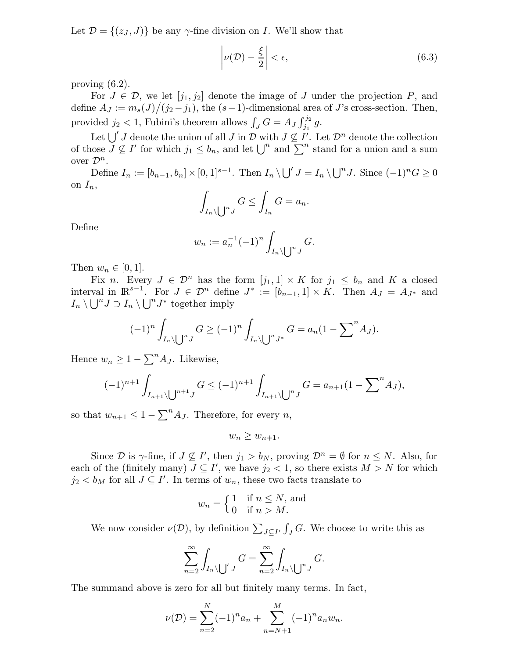Let  $\mathcal{D} = \{(z_J, J)\}\$ be any  $\gamma$ -fine division on I. We'll show that

$$
\left|\nu(\mathcal{D}) - \frac{\xi}{2}\right| < \epsilon,\tag{6.3}
$$

proving (6.2).

For  $J \in \mathcal{D}$ , we let  $[j_1, j_2]$  denote the image of J under the projection P, and define  $A_J := m_s(J)/(j_2 - j_1)$ , the  $(s-1)$ -dimensional area of J's cross-section. Then, provided  $j_2 < 1$ , Fubini's theorem allows  $\int_J G = A_J \int_{j_1}^{j_2} g$ .

Let  $\bigcup' J$  denote the union of all J in D with  $J \nsubseteq I'$ . Let  $\mathcal{D}^n$  denote the collection of those  $J \nsubseteq I'$  for which  $j_1 \leq b_n$ , and let  $\bigcup^n$  and  $\sum^n$  stand for a union and a sum over  $\mathcal{D}^n$ .

Define  $I_n := [b_{n-1}, b_n] \times [0, 1]^{s-1}$ . Then  $I_n \setminus \bigcup' J = I_n \setminus \bigcup^n J$ . Since  $(-1)^n G \geq 0$ on  $I_n$ ,

$$
\int_{I_n \setminus \bigcup^n J} G \le \int_{I_n} G = a_n.
$$

Define

$$
w_n := a_n^{-1} (-1)^n \int_{I_n \setminus \bigcup^n J} G.
$$

Then  $w_n \in [0,1]$ .

Fix n. Every  $J \in \mathcal{D}^n$  has the form  $[j_1, 1] \times K$  for  $j_1 \leq b_n$  and K a closed interval in  $\mathbb{R}^{s-1}$ . For  $J \in \mathcal{D}^n$  define  $J^* := [b_{n-1}, 1] \times K$ . Then  $A_J = A_{J^*}$  and  $I_n \setminus \bigcup^n J \supset I_n \setminus \bigcup^n J^*$  together imply

$$
(-1)^n \int_{I_n \setminus \bigcup^n J} G \ge (-1)^n \int_{I_n \setminus \bigcup^n J^*} G = a_n (1 - \sum^n A_J).
$$

Hence  $w_n \geq 1 - \sum^n A_j$ . Likewise,

$$
(-1)^{n+1} \int_{I_{n+1} \setminus \bigcup^{n+1} J} G \le (-1)^{n+1} \int_{I_{n+1} \setminus \bigcup^{n} J} G = a_{n+1} (1 - \sum^{n} A_J),
$$

so that  $w_{n+1} \leq 1 - \sum^n A_j$ . Therefore, for every n,

 $w_n > w_{n+1}.$ 

Since  $\mathcal D$  is  $\gamma$ -fine, if  $J \nsubseteq I'$ , then  $j_1 > b_N$ , proving  $\mathcal D^n = \emptyset$  for  $n \le N$ . Also, for each of the (finitely many)  $J \subseteq I'$ , we have  $j_2 < 1$ , so there exists  $M > N$  for which  $j_2 < b_M$  for all  $J \subseteq I'$ . In terms of  $w_n$ , these two facts translate to

$$
w_n = \begin{cases} 1 & \text{if } n \le N, \text{ and} \\ 0 & \text{if } n > M. \end{cases}
$$

We now consider  $\nu(\mathcal{D})$ , by definition  $\sum_{J\subseteq I'} \int_J G$ . We choose to write this as

$$
\sum_{n=2}^{\infty} \int_{I_n \setminus \bigcup' J} G = \sum_{n=2}^{\infty} \int_{I_n \setminus \bigcup'^n J} G.
$$

The summand above is zero for all but finitely many terms. In fact,

$$
\nu(\mathcal{D}) = \sum_{n=2}^{N} (-1)^n a_n + \sum_{n=N+1}^{M} (-1)^n a_n w_n.
$$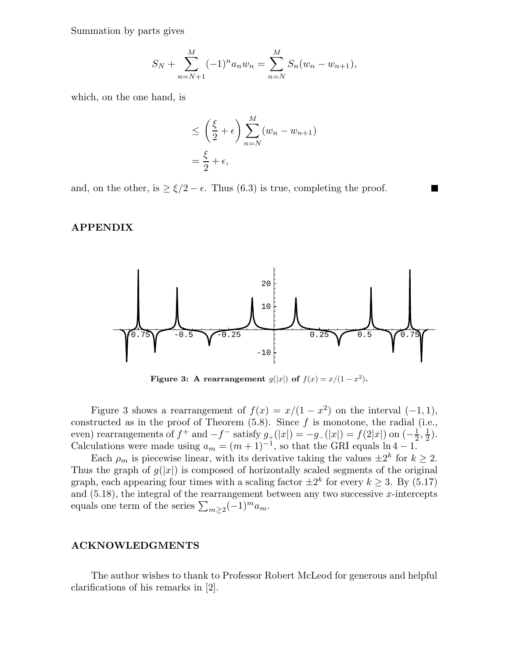Summation by parts gives

$$
S_N + \sum_{n=N+1}^{M} (-1)^n a_n w_n = \sum_{n=N}^{M} S_n (w_n - w_{n+1}),
$$

which, on the one hand, is

$$
\leq \left(\frac{\xi}{2} + \epsilon\right) \sum_{n=N}^{M} (w_n - w_{n+1})
$$

$$
= \frac{\xi}{2} + \epsilon,
$$

and, on the other, is  $\geq \xi/2 - \epsilon$ . Thus (6.3) is true, completing the proof.

## APPENDIX



Figure 3: A rearrangement  $g(|x|)$  of  $f(x) = x/(1-x^2)$ .

Figure 3 shows a rearrangement of  $f(x) = x/(1-x^2)$  on the interval  $(-1, 1)$ , constructed as in the proof of Theorem  $(5.8)$ . Since f is monotone, the radial (i.e., even) rearrangements of  $f^+$  and  $-f^-$  satisfy  $g_+(x|) = -g_-(x|x) = f(2|x|)$  on  $\left(-\frac{1}{2}\right)$  $\frac{1}{2}, \frac{1}{2}$  $(\frac{1}{2})$ . Calculations were made using  $a_m = (m+1)^{-1}$ , so that the GRI equals  $\ln 4 - 1$ .

Each  $\rho_m$  is piecewise linear, with its derivative taking the values  $\pm 2^k$  for  $k \geq 2$ . Thus the graph of  $g(|x|)$  is composed of horizontally scaled segments of the original graph, each appearing four times with a scaling factor  $\pm 2^k$  for every  $k \geq 3$ . By (5.17) and  $(5.18)$ , the integral of the rearrangement between any two successive x-intercepts equals one term of the series  $\sum_{m\geq 2}(-1)^m a_m$ .

# ACKNOWLEDGMENTS

The author wishes to thank to Professor Robert McLeod for generous and helpful clarifications of his remarks in [2].